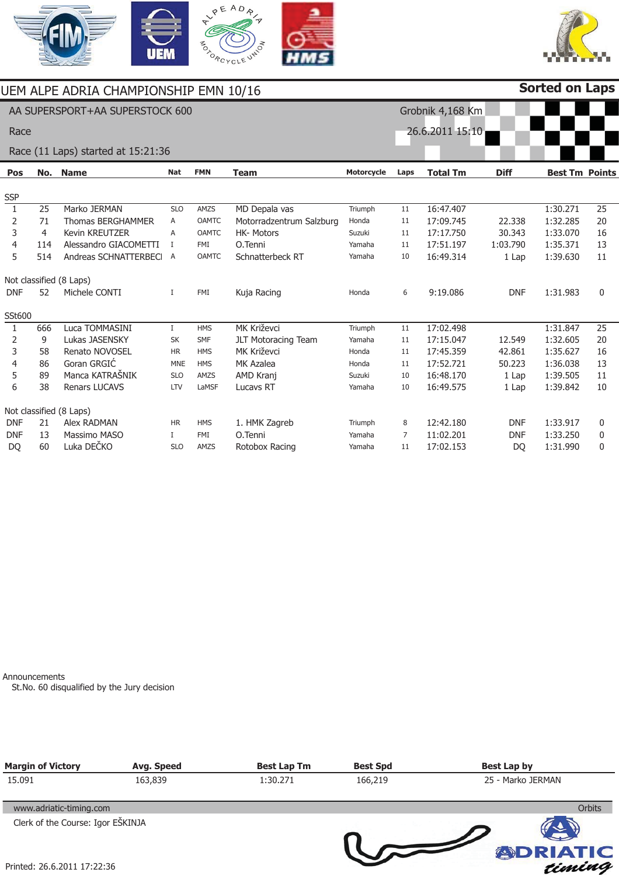



|              |     | JEM ALPE ADRIA CHAMPIONSHIP EMN 10/16 |             |              |                            |                   |      |                  |             | <b>Sorted on Laps</b> |                 |
|--------------|-----|---------------------------------------|-------------|--------------|----------------------------|-------------------|------|------------------|-------------|-----------------------|-----------------|
|              |     | AA SUPERSPORT+AA SUPERSTOCK 600       |             |              |                            |                   |      | Grobnik 4,168 Km |             |                       |                 |
| Race         |     |                                       |             |              |                            |                   |      | 26.6.2011 15:10  |             |                       |                 |
|              |     | Race (11 Laps) started at 15:21:36    |             |              |                            |                   |      |                  |             |                       |                 |
| <b>Pos</b>   | No. | <b>Name</b>                           | <b>Nat</b>  | <b>FMN</b>   | <b>Team</b>                | <b>Motorcycle</b> | Laps | <b>Total Tm</b>  | <b>Diff</b> | <b>Best Tm Points</b> |                 |
| <b>SSP</b>   |     |                                       |             |              |                            |                   |      |                  |             |                       |                 |
| $\mathbf{1}$ | 25  | Marko JERMAN                          | <b>SLO</b>  | AMZS         | MD Depala vas              | Triumph           | 11   | 16:47.407        |             | 1:30.271              | 25              |
| 2            | 71  | <b>Thomas BERGHAMMER</b>              | Α           | <b>OAMTC</b> | Motorradzentrum Salzburg   | Honda             | 11   | 17:09.745        | 22.338      | 1:32.285              | 20              |
| 3            | 4   | <b>Kevin KREUTZER</b>                 | A           | <b>OAMTC</b> | <b>HK-Motors</b>           | Suzuki            | 11   | 17:17.750        | 30.343      | 1:33.070              | 16              |
| 4            | 114 | Alessandro GIACOMETTI                 | Ι           | <b>FMI</b>   | O.Tenni                    | Yamaha            | 11   | 17:51.197        | 1:03.790    | 1:35.371              | 13              |
| 5            | 514 | Andreas SCHNATTERBECI                 | A           | <b>OAMTC</b> | Schnatterbeck RT           | Yamaha            | 10   | 16:49.314        | 1 Lap       | 1:39.630              | 11              |
|              |     | Not classified (8 Laps)               |             |              |                            |                   |      |                  |             |                       |                 |
| <b>DNF</b>   | 52  | Michele CONTI                         | I           | FMI          | Kuja Racing                | Honda             | 6    | 9:19.086         | <b>DNF</b>  | 1:31.983              | $\mathbf{0}$    |
| SSt600       |     |                                       |             |              |                            |                   |      |                  |             |                       |                 |
| $\mathbf{1}$ | 666 | Luca TOMMASINI                        | $\mathbf I$ | <b>HMS</b>   | <b>MK Križevci</b>         | Triumph           | 11   | 17:02.498        |             | 1:31.847              | $\overline{25}$ |
| 2            | 9   | Lukas JASENSKY                        | SK          | <b>SMF</b>   | <b>JLT Motoracing Team</b> | Yamaha            | 11   | 17:15.047        | 12.549      | 1:32.605              | 20              |
| 3            | 58  | Renato NOVOSEL                        | <b>HR</b>   | <b>HMS</b>   | MK Križevci                | Honda             | 11   | 17:45.359        | 42.861      | 1:35.627              | 16              |
| 4            | 86  | Goran GRGIĆ                           | <b>MNE</b>  | <b>HMS</b>   | MK Azalea                  | Honda             | 11   | 17:52.721        | 50.223      | 1:36.038              | 13              |
| 5            | 89  | Manca KATRAŠNIK                       | <b>SLO</b>  | AMZS         | AMD Kranj                  | Suzuki            | 10   | 16:48.170        | 1 Lap       | 1:39.505              | 11              |
| 6            | 38  | <b>Renars LUCAVS</b>                  | LTV         | LaMSF        | Lucavs RT                  | Yamaha            | 10   | 16:49.575        | 1 Lap       | 1:39.842              | 10              |
|              |     | Not classified (8 Laps)               |             |              |                            |                   |      |                  |             |                       |                 |
| <b>DNF</b>   | 21  | Alex RADMAN                           | <b>HR</b>   | <b>HMS</b>   | 1. HMK Zagreb              | Triumph           | 8    | 12:42.180        | <b>DNF</b>  | 1:33.917              | 0               |
| <b>DNF</b>   | 13  | Massimo MASO                          | T           | FMI          | O.Tenni                    | Yamaha            | 7    | 11:02.201        | <b>DNF</b>  | 1:33.250              | 0               |
| <b>DO</b>    | 60  | Luka DEČKO                            | <b>SLO</b>  | AMZS         | Rotobox Racing             | Yamaha            | 11   | 17:02.153        | <b>DO</b>   | 1:31.990              | 0               |

Announcements

St.No. 60 disqualified by the Jury decision

| <b>Margin of Victory</b>          | Avg. Speed | <b>Best Lap Tm</b> | <b>Best Spd</b> | <b>Best Lap by</b> |  |  |
|-----------------------------------|------------|--------------------|-----------------|--------------------|--|--|
| 15.091                            | 163,839    | 1:30.271           | 166,219         | 25 - Marko JERMAN  |  |  |
| www.adriatic-timing.com           |            |                    |                 | <b>Orbits</b>      |  |  |
| Clerk of the Course: Igor EŠKINJA |            |                    |                 |                    |  |  |
|                                   |            |                    |                 |                    |  |  |
| Printed: 26.6.2011 17:22:36       |            |                    |                 | <b>ADRIATIC</b>    |  |  |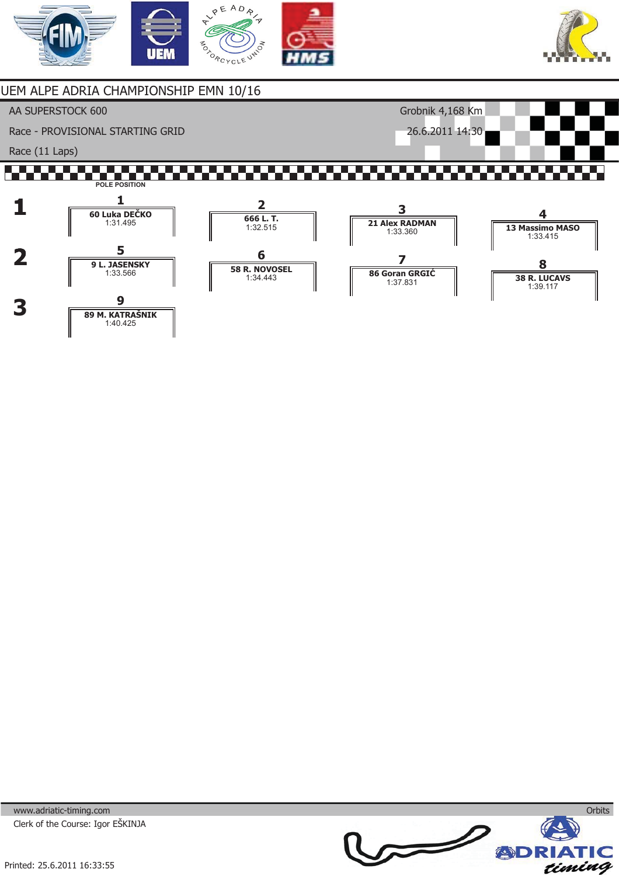



## UEM ALPE ADRIA CHAMPIONSHIP EMN 10/16

AA SUPERSTOCK 600

Race - PROVISIONAL STARTING GRID

Race (11 Laps)

## <u> 1969 - 1969 - 19</u> ,,,,,, ,,,,,,,,,, an an S **POLE POSITION**

Grobnik 4,168 Km 26.6.2011 14:30



www.adriatic-timing.com Clerk of the Course: Igor EŠKINJA